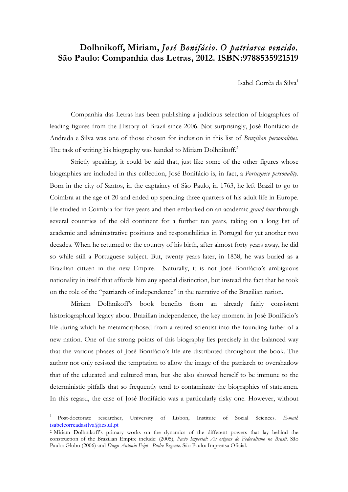## **Dolhnikoff, Miriam,** *José Bonifácio***.** *O patriarca vencido.*  **São Paulo: Companhia das Letras, 2012. ISBN:9788535921519**

Isabel Corrêa da Silva<sup>1</sup>

Companhia das Letras has been publishing a judicious selection of biographies of leading figures from the History of Brazil since 2006. Not surprisingly, José Bonifácio de Andrada e Silva was one of those chosen for inclusion in this list of *Brazilian personalities*. The task of writing his biography was handed to Miriam Dolhnikoff.<sup>2</sup>

Strictly speaking, it could be said that, just like some of the other figures whose biographies are included in this collection, José Bonifácio is, in fact, a *Portuguese personality*. Born in the city of Santos, in the captaincy of São Paulo, in 1763, he left Brazil to go to Coimbra at the age of 20 and ended up spending three quarters of his adult life in Europe. He studied in Coimbra for five years and then embarked on an academic *grand tour* through several countries of the old continent for a further ten years, taking on a long list of academic and administrative positions and responsibilities in Portugal for yet another two decades. When he returned to the country of his birth, after almost forty years away, he did so while still a Portuguese subject. But, twenty years later, in 1838, he was buried as a Brazilian citizen in the new Empire. Naturally, it is not José Bonifácio's ambiguous nationality in itself that affords him any special distinction, but instead the fact that he took on the role of the "patriarch of independence" in the narrative of the Brazilian nation.

Miriam Dolhnikoff's book benefits from an already fairly consistent historiographical legacy about Brazilian independence, the key moment in José Bonifácio's life during which he metamorphosed from a retired scientist into the founding father of a new nation. One of the strong points of this biography lies precisely in the balanced way that the various phases of José Bonifácio's life are distributed throughout the book. The author not only resisted the temptation to allow the image of the patriarch to overshadow that of the educated and cultured man, but she also showed herself to be immune to the deterministic pitfalls that so frequently tend to contaminate the biographies of statesmen. In this regard, the case of José Bonifácio was a particularly risky one. However, without

 $\overline{a}$ 

<sup>1</sup> Post-doctorate researcher, University of Lisbon, Institute of Social Sciences. *E-mail*: isabelcorreadasilva@ics.ul.pt

<sup>2</sup> Miriam Dolhnikoff's primary works on the dynamics of the different powers that lay behind the construction of the Brazilian Empire include: (2005), *Pacto Imperial: As origens do Federalismo no Brasil*. São Paulo: Globo (2006) and *Diogo Antônio Feijó - Padre Regente*. São Paulo: Imprensa Oficial.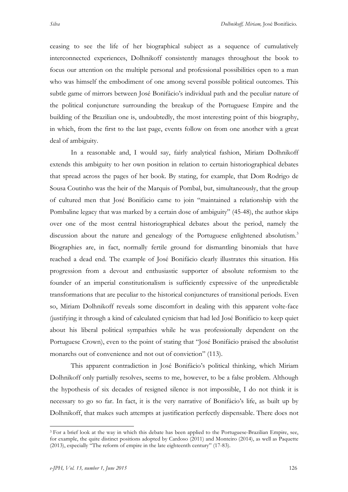ceasing to see the life of her biographical subject as a sequence of cumulatively interconnected experiences, Dolhnikoff consistently manages throughout the book to focus our attention on the multiple personal and professional possibilities open to a man who was himself the embodiment of one among several possible political outcomes. This subtle game of mirrors between José Bonifácio's individual path and the peculiar nature of the political conjuncture surrounding the breakup of the Portuguese Empire and the building of the Brazilian one is, undoubtedly, the most interesting point of this biography, in which, from the first to the last page, events follow on from one another with a great deal of ambiguity.

In a reasonable and, I would say, fairly analytical fashion, Miriam Dolhnikoff extends this ambiguity to her own position in relation to certain historiographical debates that spread across the pages of her book. By stating, for example, that Dom Rodrigo de Sousa Coutinho was the heir of the Marquis of Pombal, but, simultaneously, that the group of cultured men that José Bonifácio came to join "maintained a relationship with the Pombaline legacy that was marked by a certain dose of ambiguity" (45-48), the author skips over one of the most central historiographical debates about the period, namely the discussion about the nature and genealogy of the Portuguese enlightened absolutism.<sup>3</sup> Biographies are, in fact, normally fertile ground for dismantling binomials that have reached a dead end. The example of José Bonifácio clearly illustrates this situation. His progression from a devout and enthusiastic supporter of absolute reformism to the founder of an imperial constitutionalism is sufficiently expressive of the unpredictable transformations that are peculiar to the historical conjunctures of transitional periods. Even so, Miriam Dolhnikoff reveals some discomfort in dealing with this apparent volte-face (justifying it through a kind of calculated cynicism that had led José Bonifácio to keep quiet about his liberal political sympathies while he was professionally dependent on the Portuguese Crown), even to the point of stating that "José Bonifácio praised the absolutist monarchs out of convenience and not out of conviction" (113).

This apparent contradiction in José Bonifácio's political thinking, which Miriam Dolhnikoff only partially resolves, seems to me, however, to be a false problem. Although the hypothesis of six decades of resigned silence is not impossible, I do not think it is necessary to go so far. In fact, it is the very narrative of Bonifácio's life, as built up by Dolhnikoff, that makes such attempts at justification perfectly dispensable. There does not

 <sup>3</sup> For a brief look at the way in which this debate has been applied to the Portuguese-Brazilian Empire, see, for example, the quite distinct positions adopted by Cardoso (2011) and Monteiro (2014), as well as Paquette (2013), especially "The reform of empire in the late eighteenth century" (17-83).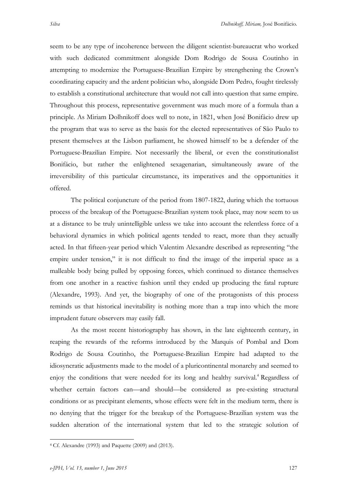seem to be any type of incoherence between the diligent scientist-bureaucrat who worked with such dedicated commitment alongside Dom Rodrigo de Sousa Coutinho in attempting to modernize the Portuguese-Brazilian Empire by strengthening the Crown's coordinating capacity and the ardent politician who, alongside Dom Pedro, fought tirelessly to establish a constitutional architecture that would not call into question that same empire. Throughout this process, representative government was much more of a formula than a principle. As Miriam Dolhnikoff does well to note, in 1821, when José Bonifácio drew up the program that was to serve as the basis for the elected representatives of São Paulo to present themselves at the Lisbon parliament, he showed himself to be a defender of the Portuguese-Brazilian Empire. Not necessarily the liberal, or even the constitutionalist Bonifácio, but rather the enlightened sexagenarian, simultaneously aware of the irreversibility of this particular circumstance, its imperatives and the opportunities it offered.

The political conjuncture of the period from 1807-1822, during which the tortuous process of the breakup of the Portuguese-Brazilian system took place, may now seem to us at a distance to be truly unintelligible unless we take into account the relentless force of a behavioral dynamics in which political agents tended to react, more than they actually acted. In that fifteen-year period which Valentim Alexandre described as representing "the empire under tension," it is not difficult to find the image of the imperial space as a malleable body being pulled by opposing forces, which continued to distance themselves from one another in a reactive fashion until they ended up producing the fatal rupture (Alexandre, 1993). And yet, the biography of one of the protagonists of this process reminds us that historical inevitability is nothing more than a trap into which the more imprudent future observers may easily fall.

As the most recent historiography has shown, in the late eighteenth century, in reaping the rewards of the reforms introduced by the Marquis of Pombal and Dom Rodrigo de Sousa Coutinho, the Portuguese-Brazilian Empire had adapted to the idiosyncratic adjustments made to the model of a pluricontinental monarchy and seemed to enjoy the conditions that were needed for its long and healthy survival.<sup>4</sup> Regardless of whether certain factors can—and should—be considered as pre-existing structural conditions or as precipitant elements, whose effects were felt in the medium term, there is no denying that the trigger for the breakup of the Portuguese-Brazilian system was the sudden alteration of the international system that led to the strategic solution of

 <sup>4</sup> Cf. Alexandre (1993) and Paquette (2009) and (2013).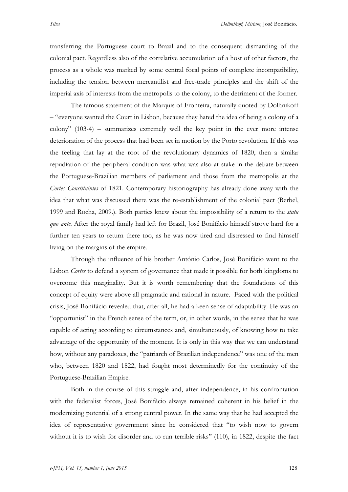transferring the Portuguese court to Brazil and to the consequent dismantling of the colonial pact. Regardless also of the correlative accumulation of a host of other factors, the process as a whole was marked by some central focal points of complete incompatibility, including the tension between mercantilist and free-trade principles and the shift of the imperial axis of interests from the metropolis to the colony, to the detriment of the former.

The famous statement of the Marquis of Fronteira, naturally quoted by Dolhnikoff – "everyone wanted the Court in Lisbon, because they hated the idea of being a colony of a colony" (103-4) – summarizes extremely well the key point in the ever more intense deterioration of the process that had been set in motion by the Porto revolution. If this was the feeling that lay at the root of the revolutionary dynamics of 1820, then a similar repudiation of the peripheral condition was what was also at stake in the debate between the Portuguese-Brazilian members of parliament and those from the metropolis at the *Cortes Constituintes* of 1821. Contemporary historiography has already done away with the idea that what was discussed there was the re-establishment of the colonial pact (Berbel, 1999 and Rocha, 2009.). Both parties knew about the impossibility of a return to the *statu quo ante*. After the royal family had left for Brazil, José Bonifácio himself strove hard for a further ten years to return there too, as he was now tired and distressed to find himself living on the margins of the empire.

Through the influence of his brother António Carlos, José Bonifácio went to the Lisbon *Cortes* to defend a system of governance that made it possible for both kingdoms to overcome this marginality. But it is worth remembering that the foundations of this concept of equity were above all pragmatic and rational in nature. Faced with the political crisis, José Bonifácio revealed that, after all, he had a keen sense of adaptability. He was an "opportunist" in the French sense of the term, or, in other words, in the sense that he was capable of acting according to circumstances and, simultaneously, of knowing how to take advantage of the opportunity of the moment. It is only in this way that we can understand how, without any paradoxes, the "patriarch of Brazilian independence" was one of the men who, between 1820 and 1822, had fought most determinedly for the continuity of the Portuguese-Brazilian Empire.

Both in the course of this struggle and, after independence, in his confrontation with the federalist forces, José Bonifácio always remained coherent in his belief in the modernizing potential of a strong central power. In the same way that he had accepted the idea of representative government since he considered that "to wish now to govern without it is to wish for disorder and to run terrible risks" (110), in 1822, despite the fact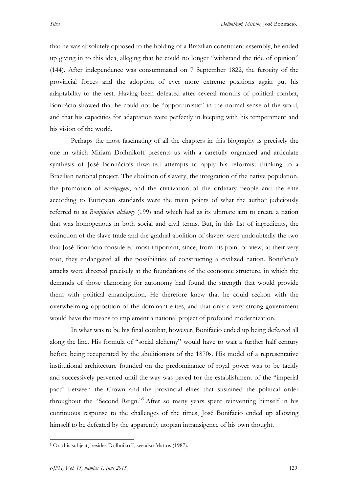that he was absolutely opposed to the holding of a Brazilian constituent assembly, he ended up giving in to this idea, alleging that he could no longer "withstand the tide of opinion" (144). After independence was consummated on 7 September 1822, the ferocity of the provincial forces and the adoption of ever more extreme positions again put his adaptability to the test. Having been defeated after several months of political combat, Bonifácio showed that he could not be "opportunistic" in the normal sense of the word, and that his capacities for adaptation were perfectly in keeping with his temperament and his vision of the world.

Perhaps the most fascinating of all the chapters in this biography is precisely the one in which Miriam Dolhnikoff presents us with a carefully organized and articulate synthesis of José Bonifácio's thwarted attempts to apply his reformist thinking to a Brazilian national project. The abolition of slavery, the integration of the native population, the promotion of *mestiçagem*, and the civilization of the ordinary people and the elite according to European standards were the main points of what the author judiciously referred to as *Bonifacian alchemy* (199) and which had as its ultimate aim to create a nation that was homogenous in both social and civil terms. But, in this list of ingredients, the extinction of the slave trade and the gradual abolition of slavery were undoubtedly the two that José Bonifácio considered most important, since, from his point of view, at their very root, they endangered all the possibilities of constructing a civilized nation. Bonifácio's attacks were directed precisely at the foundations of the economic structure, in which the demands of those clamoring for autonomy had found the strength that would provide them with political emancipation. He therefore knew that he could reckon with the overwhelming opposition of the dominant elites, and that only a very strong government would have the means to implement a national project of profound modernization.

In what was to be his final combat, however, Bonifácio ended up being defeated all along the line. His formula of "social alchemy" would have to wait a further half century before being recuperated by the abolitionists of the 1870s. His model of a representative institutional architecture founded on the predominance of royal power was to be tacitly and successively perverted until the way was paved for the establishment of the "imperial pact" between the Crown and the provincial elites that sustained the political order throughout the "Second Reign."5 After so many years spent reinventing himself in his continuous response to the challenges of the times, José Bonifácio ended up allowing himself to be defeated by the apparently utopian intransigence of his own thought.

 <sup>5</sup> On this subject, besides Dolhnikoff, see also Mattos (1987).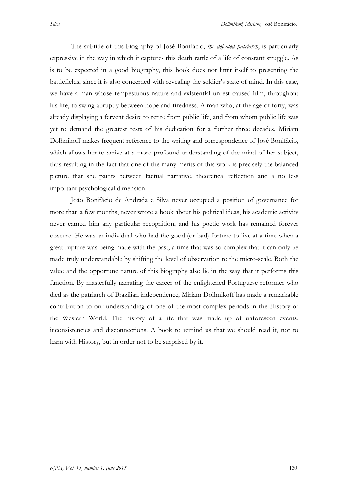The subtitle of this biography of José Bonifácio, *the defeated patriarch*, is particularly

expressive in the way in which it captures this death rattle of a life of constant struggle. As is to be expected in a good biography, this book does not limit itself to presenting the battlefields, since it is also concerned with revealing the soldier's state of mind. In this case, we have a man whose tempestuous nature and existential unrest caused him, throughout his life, to swing abruptly between hope and tiredness. A man who, at the age of forty, was already displaying a fervent desire to retire from public life, and from whom public life was yet to demand the greatest tests of his dedication for a further three decades. Miriam Dolhnikoff makes frequent reference to the writing and correspondence of José Bonifácio, which allows her to arrive at a more profound understanding of the mind of her subject, thus resulting in the fact that one of the many merits of this work is precisely the balanced picture that she paints between factual narrative, theoretical reflection and a no less important psychological dimension.

João Bonifácio de Andrada e Silva never occupied a position of governance for more than a few months, never wrote a book about his political ideas, his academic activity never earned him any particular recognition, and his poetic work has remained forever obscure. He was an individual who had the good (or bad) fortune to live at a time when a great rupture was being made with the past, a time that was so complex that it can only be made truly understandable by shifting the level of observation to the micro-scale. Both the value and the opportune nature of this biography also lie in the way that it performs this function. By masterfully narrating the career of the enlightened Portuguese reformer who died as the patriarch of Brazilian independence, Miriam Dolhnikoff has made a remarkable contribution to our understanding of one of the most complex periods in the History of the Western World. The history of a life that was made up of unforeseen events, inconsistencies and disconnections. A book to remind us that we should read it, not to learn with History, but in order not to be surprised by it.